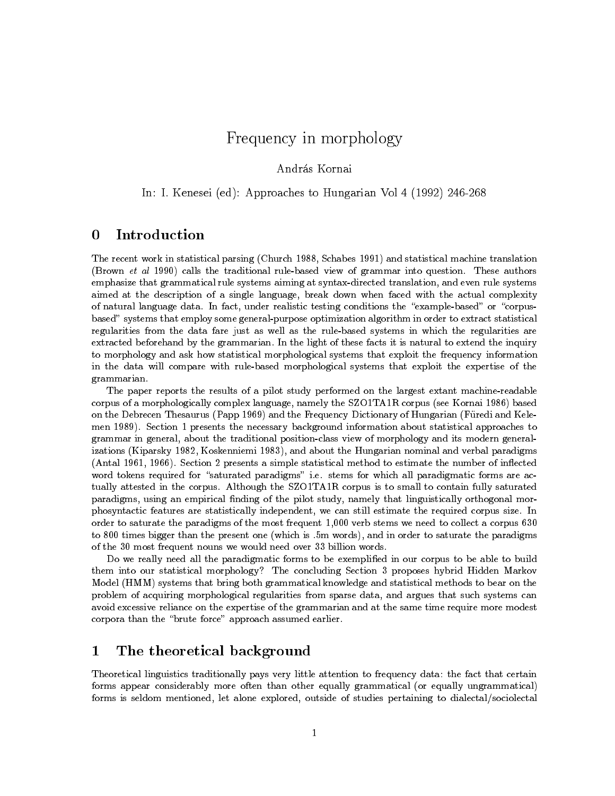# Frequency in morphology

## In: I. Kenesei (ed): Approaches to Hungarian Vol 4 (1992) 246-268

### 0Introduction

The recent work in statistical parsing (Church 1988, Schabes 1991) and statistical machine translation (Brown et al 1990) calls the traditional rule-based view of grammar into question. These authors emphasize that grammatical rule systems aiming at syntax-directed translation, and even rule systems aimed at the description of a single language, break down when faced with the actual complexity of natural language data. In fact, under realistic testing conditions the "example-based" or "corpusbased" systems that employ some general-purpose optimization algorithm in order to extract statistical regularities from the data fare just as well as the rule-based systems in which the regularities are extracted beforehand by the grammarian. In the light of these facts it is natural to extend the inquiry to morphology and ask how statistical morphological systems that exploit the frequency information in the data will compare with rule-based morphological systems that exploit the expertise of the grammarian.

The paper reports the results of a pilot study performed on the largest extant machine-readable corpus of a morphologically complex language, namely the SZO1TA1R corpus (see Kornai 1986) based on the Debrecen Thesaurus (Papp 1969) and the Frequency Dictionary of Hungarian (Furedi and Kelemen 1989). Section 1 presents the necessary background information about statistical approaches to grammar in general, about the traditional position-class view of morphology and its modern generalizations (Kiparsky 1982, Koskenniemi 1983), and about the Hungarian nominal and verbal paradigms (Antal 1961, 1966). Section 2 presents a simple statistical method to estimate the number of inflected word tokens required for "saturated paradigms" i.e. stems for which all paradigmatic forms are actually attested in the corpus. Although the SZO1TA1R corpus is to small to contain fully saturated paradigms, using an empirical finding of the pilot study, namely that linguistically orthogonal morphosyntactic features are statistically independent, we can still estimate the required corpus size. In order to saturate the paradigms of the most frequent 1,000 verb stems we need to collect a corpus 630 to 800 times bigger than the present one (which is .5m words), and in order to saturate the paradigms of the 30 most frequent nouns we would need over 33 billion words.

Do we really need all the paradigmatic forms to be exemplied in our corpus to be able to build them into our statistical morphology? The concluding Section 3 proposes hybrid Hidden Markov Model (HMM) systems that bring both grammatical knowledge and statistical methods to bear on the problem of acquiring morphological regularities from sparse data, and argues that such systems can avoid excessive reliance on the expertise of the grammarian and at the same time require more modest corpora than the "brute force" approach assumed earlier.

#### 1The theoretical background

Theoretical linguistics traditionally pays very little attention to frequency data: the fact that certain forms appear considerably more often than other equally grammatical (or equally ungrammatical) forms is seldom mentioned, let alone explored, outside of studies pertaining to dialectal/sociolectal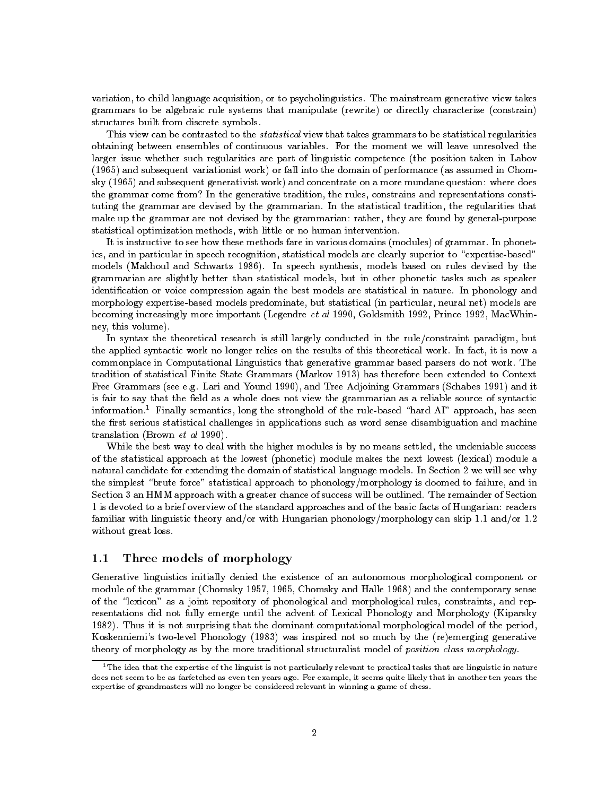variation, to child language acquisition, or to psycholinguistics. The mainstream generative view takes grammars to be algebraic rule systems that manipulate (rewrite) or directly characterize (constrain) structures built from discrete symbols.

This view can be contrasted to the *statistical* view that takes grammars to be statistical regularities obtaining between ensembles of continuous variables. For the moment we will leave unresolved the larger issue whether such regularities are part of linguistic competence (the position taken in Labov (1965) and subsequent variationist work) or fall into the domain of performance (as assumed in Chomsky (1965) and subsequent generativist work) and concentrate on a more mundane question: where does the grammar come from? In the generative tradition, the rules, constrains and representations constituting the grammar are devised by the grammarian. In the statistical tradition, the regularities that make up the grammar are not devised by the grammarian: rather, they are found by general-purpose statistical optimization methods, with little or no human intervention.

It is instructive to see how these methods fare in various domains (modules) of grammar. In phonetics, and in particular in speech recognition, statistical models are clearly superior to "expertise-based" models (Makhoul and Schwartz 1986). In speech synthesis, models based on rules devised by the grammarian are slightly better than statistical models, but in other phonetic tasks such as speaker identication or voice compression again the best models are statistical in nature. In phonology and morphology expertise-based models predominate, but statistical (in particular, neural net) models are becoming increasingly more important (Legendre et al 1990, Goldsmith 1992, Prince 1992, MacWhinney, this volume).

In syntax the theoretical research is still largely conducted in the rule/constraint paradigm, but the applied syntactic work no longer relies on the results of this theoretical work. In fact, it is now a commonplace in Computational Linguistics that generative grammar based parsers do not work. The tradition of statistical Finite State Grammars (Markov 1913) has therefore been extended to Context Free Grammars (see e.g. Lari and Yound 1990), and Tree Adjoining Grammars (Schabes 1991) and it is fair to say that the field as a whole does not view the grammarian as a reliable source of syntactic information.<sup>1</sup> Finally semantics, long the stronghold of the rule-based "hard AI" approach, has seen the first serious statistical challenges in applications such as word sense disambiguation and machine translation (Brown et al 1990).

While the best way to deal with the higher modules is by no means settled, the undeniable success of the statistical approach at the lowest (phonetic) module makes the next lowest (lexical) module a natural candidate for extending the domain of statistical language models. In Section 2 we will see why the simplest "brute force" statistical approach to phonology/morphology is doomed to failure, and in Section 3 an HMM approach with a greater chance of success will be outlined. The remainder of Section 1 is devoted to a brief overview of the standard approaches and of the basic facts of Hungarian: readers familiar with linguistic theory and/or with Hungarian phonology/morphology can skip 1.1 and/or 1.2 without great loss.

#### 1.1Three models of morphology

Generative linguistics initially denied the existence of an autonomous morphological component or module of the grammar (Chomsky 1957, 1965, Chomsky and Halle 1968) and the contemporary sense of the \lexicon" as a joint repository of phonological and morphological rules, constraints, and representations did not fully emerge until the advent of Lexical Phonology and Morphology (Kiparsky 1982). Thus it is not surprising that the dominant computational morphological model of the period, Koskenniemi's two-level Phonology (1983) was inspired not so much by the (re)emerging generative theory of morphology as by the more traditional structuralist model of position class morphology.

 $1$ The idea that the expertise of the linguist is not particularly relevant to practical tasks that are linguistic in nature does not seem to be as farfetched as even ten years ago. For example, it seems quite likely that in another ten years the expertise of grandmasters will no longer be considered relevant in winning a game of chess.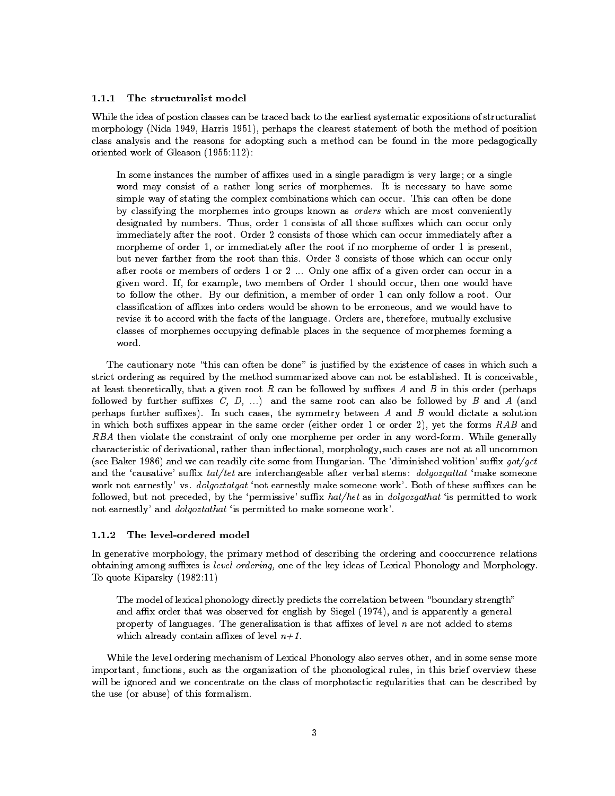#### 1.1.1The structuralist model

While the idea of postion classes can be traced back to the earliest systematic expositions of structuralist morphology (Nida 1949, Harris 1951), perhaps the clearest statement of both the method of position class analysis and the reasons for adopting such a method can be found in the more pedagogically oriented work of Gleason (1955:112):

In some instances the number of affixes used in a single paradigm is very large; or a single word may consist of a rather long series of morphemes. It is necessary to have some simple way of stating the complex combinations which can occur. This can often be done by classifying the morphemes into groups known as orders which are most conveniently designated by numbers. Thus, order 1 consists of all those suffixes which can occur only immediately after the root. Order 2 consists of those which can occur immediately after a morpheme of order 1, or immediately after the root if no morpheme of order 1 is present, but never farther from the root than this. Order 3 consists of those which can occur only after roots or members of orders 1 or 2 ... Only one affix of a given order can occur in a given word. If, for example, two members of Order 1 should occur, then one would have to follow the other. By our definition, a member of order 1 can only follow a root. Our classification of affixes into orders would be shown to be erroneous, and we would have to revise it to accord with the facts of the language. Orders are, therefore, mutually exclusive classes of morphemes occupying definable places in the sequence of morphemes forming a word.

The cautionary note "this can often be done" is justified by the existence of cases in which such a strict ordering as required by the method summarized above can not be established. It is conceivable, at least theoretically, that a given root R can be followed by suffixes A and B in this order (perhaps followed by further suffixes  $C, D, \ldots$ ) and the same root can also be followed by B and A (and perhaps further suffixes). In such cases, the symmetry between  $A$  and  $B$  would dictate a solution in which both suffixes appear in the same order (either order 1 or order 2), yet the forms  $RAB$  and RBA then violate the constraint of only one morpheme per order in any word-form. While generally characteristic of derivational, rather than inflectional, morphology, such cases are not at all uncommon (see Baker 1986) and we can readily cite some from Hungarian. The 'diminished volition' suffix  $qat/qet$ and the 'causative' suffix  $tat/tet$  are interchangeable after verbal stems:  $dologozgattat$  'make someone work not earnestly' vs. *dolgoztatgat* 'not earnestly make someone work'. Both of these suffixes can be followed, but not preceded, by the 'permissive' suffix  $hat/het$  as in  $dologozgathat$  'is permitted to work not earnestly' and *dolgoztathat* 'is permitted to make someone work'.

#### $112$ The level-ordered model

In generative morphology, the primary method of describing the ordering and cooccurrence relations obtaining among suffixes is level ordering, one of the key ideas of Lexical Phonology and Morphology. To quote Kiparsky (1982:11)

The model of lexical phonology directly predicts the correlation between "boundary strength" and affix order that was observed for english by Siegel (1974), and is apparently a general property of languages. The generalization is that affixes of level  $n$  are not added to stems which already contain affixes of level  $n+1$ .

While the level ordering mechanism of Lexical Phonology also serves other, and in some sense more important, functions, such as the organization of the phonological rules, in this brief overview these will be ignored and we concentrate on the class of morphotactic regularities that can be described by the use (or abuse) of this formalism.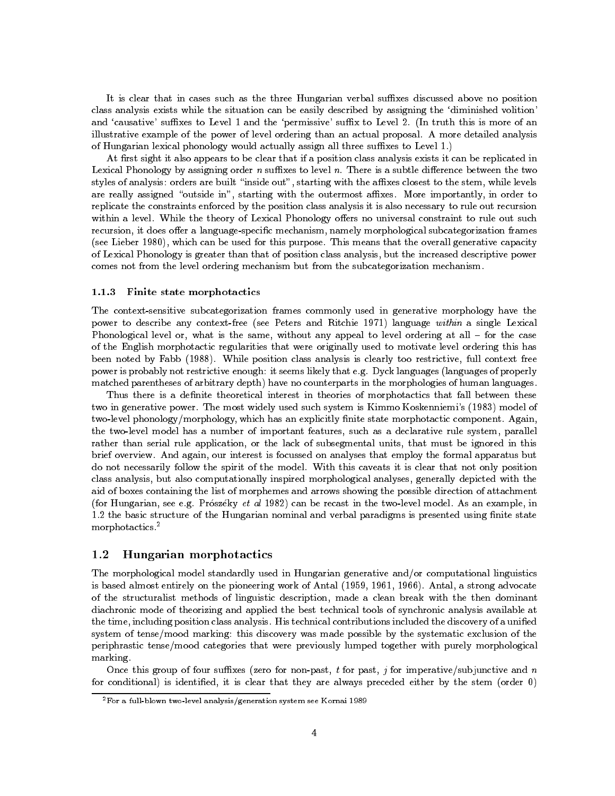It is clear that in cases such as the three Hungarian verbal suffixes discussed above no position class analysis exists while the situation can be easily described by assigning the `diminished volition' and 'causative' suffixes to Level 1 and the 'permissive' suffix to Level 2. (In truth this is more of an illustrative example of the power of level ordering than an actual proposal. A more detailed analysis of Hungarian lexical phonology would actually assign all three suffixes to Level 1.)

At first sight it also appears to be clear that if a position class analysis exists it can be replicated in Lexical Phonology by assigning order  $n$  suffixes to level  $n$ . There is a subtle difference between the two styles of analysis: orders are built "inside out", starting with the affixes closest to the stem, while levels are really assigned "outside in", starting with the outermost affixes. More importantly, in order to replicate the constraints enforced by the position class analysis it is also necessary to rule out recursion within a level. While the theory of Lexical Phonology offers no universal constraint to rule out such recursion, it does offer a language-specific mechanism, namely morphological subcategorization frames (see Lieber 1980), which can be used for this purpose. This means that the overall generative capacity of Lexical Phonology is greater than that of position class analysis, but the increased descriptive power comes not from the level ordering mechanism but from the subcategorization mechanism.

### 1.1.3 Finite state morphotactics

The context-sensitive subcategorization frames commonly used in generative morphology have the power to describe any context-free (see Peters and Ritchie 1971) language within a single Lexical Phonological level or, what is the same, without any appeal to level ordering at all - for the case of the English morphotactic regularities that were originally used to motivate level ordering this has been noted by Fabb (1988). While position class analysis is clearly too restrictive, full context free power is probably not restrictive enough: it seems likely that e.g. Dyck languages (languages of properly matched parentheses of arbitrary depth) have no counterparts in the morphologies of human languages.

Thus there is a definite theoretical interest in theories of morphotactics that fall between these two in generative power. The most widely used such system is Kimmo Koskenniemi's (1983) model of two-level phonology/morphology, which has an explicitly finite state morphotactic component. Again, the two-level model has a number of important features, such as a declarative rule system, parallel rather than serial rule application, or the lack of subsegmental units, that must be ignored in this brief overview. And again, our interest is focussed on analyses that employ the formal apparatus but do not necessarily follow the spirit of the model. With this caveats it is clear that not only position class analysis, but also computationally inspired morphological analyses, generally depicted with the aid of boxes containing the list of morphemes and arrows showing the possible direction of attachment (for Hungarian, see e.g. Prószéky et al 1982) can be recast in the two-level model. As an example, in 1.2 the basic structure of the Hungarian nominal and verbal paradigms is presented using finite state morphotactics.<sup>2</sup>

#### 1.2Hungarian morphotactics

The morphological model standardly used in Hungarian generative and/or computational linguistics is based almost entirely on the pioneering work of Antal (1959, 1961, 1966). Antal, a strong advocate of the structuralist methods of linguistic description, made a clean break with the then dominant diachronic mode of theorizing and applied the best technical tools of synchronic analysis available at the time, including position class analysis. His technical contributions included the discovery of a unied system of tense/mood marking: this discovery was made possible by the systematic exclusion of the periphrastic tense/mood categories that were previously lumped together with purely morphological marking.

Once this group of four suffixes (zero for non-past, t for past, j for imperative/subjunctive and n for conditional) is identied, it is clear that they are always preceded either by the stem (order 0)

<sup>2</sup>For a full-blown two-level analysis/generation system see Kornai 1989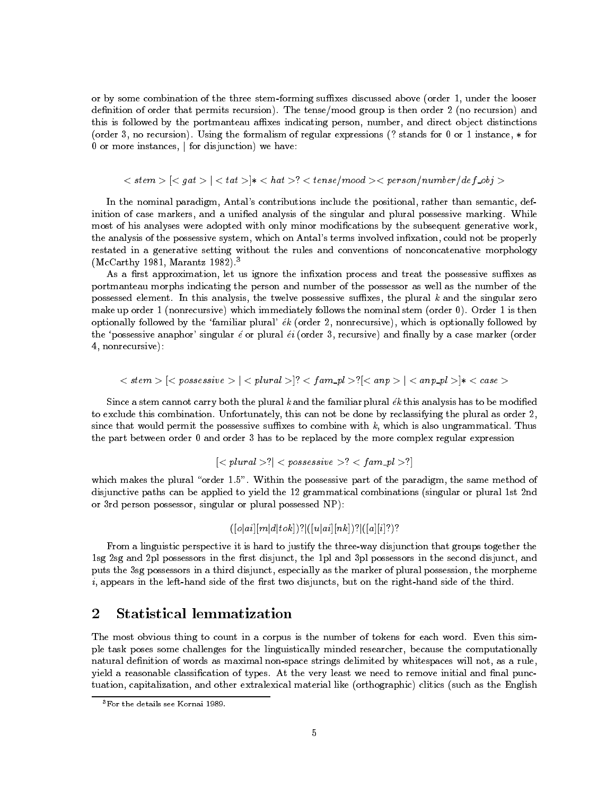or by some combination of the three stem-forming suffixes discussed above (order 1, under the looser definition of order that permits recursion). The tense/mood group is then order 2 (no recursion) and this is followed by the portmanteau affixes indicating person, number, and direct object distinctions (order 3, no recursion). Using the formalism of regular expressions (? stands for 0 or 1 instance, for  $0$  or more instances,  $\vert$  for disjunction) we have:

 $\langle$  stem  $>$   $\vert$   $\langle$  gat  $>$   $\vert$   $\langle$  tat  $>$   $\rangle*$   $\langle$  hat  $>$ ?  $\langle$  tense/mood  $>$   $\langle$  person/number/def\_obj  $>$ 

In the nominal paradigm, Antal's contributions include the positional, rather than semantic, definition of case markers, and a unified analysis of the singular and plural possessive marking. While most of his analyses were adopted with only minor modications by the subsequent generative work, the analysis of the possessive system, which on Antal's terms involved infixation, could not be properly restated in a generative setting without the rules and conventions of nonconcatenative morphology (McCarthy 1981, Marantz 1982).3

As a first approximation, let us ignore the infixation process and treat the possessive suffixes as portmanteau morphs indicating the person and number of the possessor as well as the number of the possessed element. In this analysis, the twelve possessive suffixes, the plural  $k$  and the singular zero make up order 1 (nonrecursive) which immediately follows the nominal stem (order 0). Order 1 is then optionally followed by the 'familiar plural'  $ek$  (order 2, nonrecursive), which is optionally followed by the 'possessive anaphor' singular  $\epsilon$  or plural  $\epsilon i$  (order 3, recursive) and finally by a case marker (order 4, nonrecursive):

$$
[[]];[[]<*
$$

Since a stem cannot carry both the plural  $k$  and the familiar plural  $\epsilon k$  this analysis has to be modified to exclude this combination. Unfortunately, this can not be done by reclassifying the plural as order 2, since that would permit the possessive suffixes to combine with  $k$ , which is also ungrammatical. Thus the part between order 0 and order 3 has to be replaced by the more complex regular expression

$$
|\langle\mathit{plural}\rangle|^2 < \mathit{possessive}\rangle^? < \mathit{fam\_pl}\rangle^2
$$

which makes the plural "order 1.5". Within the possessive part of the paradigm, the same method of disjunctive paths can be applied to yield the 12 grammatical combinations (singular or plural 1st 2nd or 3rd person possessor, singular or plural possessed NP):

### $(|[o|ai][m|d|tok])$ ? $|([u|ai][nk])$ ? $|([a][i]?)$ ?

From a linguistic perspective it is hard to justify the three-way disjunction that groups together the 1sg 2sg and 2pl possessors in the first disjunct, the 1pl and 3pl possessors in the second disjunct, and puts the 3sg possessors in a third disjunct, especially as the marker of plural possession, the morpheme  $i$ , appears in the left-hand side of the first two disjuncts, but on the right-hand side of the third.

#### 2Statistical lemmatization

The most obvious thing to count in a corpus is the number of tokens for each word. Even this simple task poses some challenges for the linguistically minded researcher, because the computationally natural definition of words as maximal non-space strings delimited by whitespaces will not, as a rule, yield a reasonable classification of types. At the very least we need to remove initial and final punctuation, capitalization, and other extralexical material like (orthographic) clitics (such as the English

<sup>3</sup>For the details see Kornai 1989.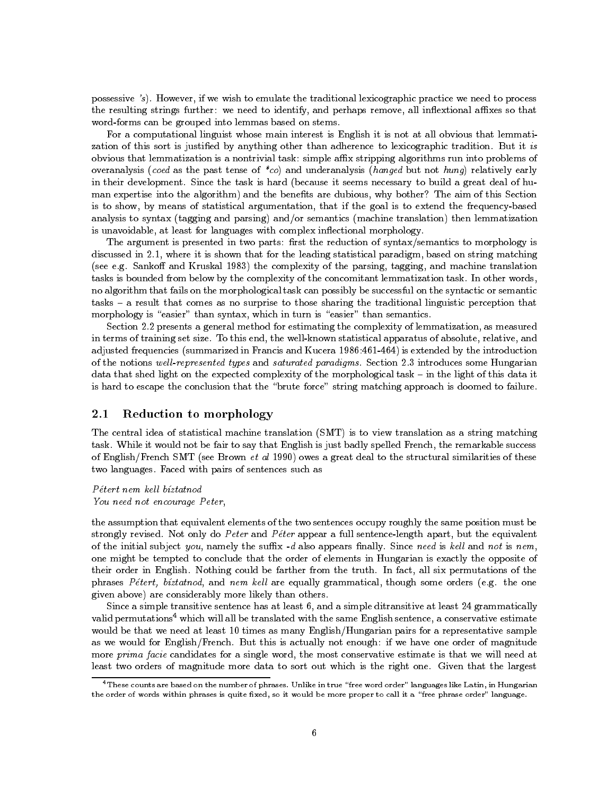possessive 's). However, if we wish to emulate the traditional lexicographic practice we need to process the resulting strings further: we need to identify, and perhaps remove, all inflextional affixes so that word-forms can be grouped into lemmas based on stems.

For a computational linguist whose main interest is English it is not at all obvious that lemmatization of this sort is justified by anything other than adherence to lexicographic tradition. But it is obvious that lemmatization is a nontrivial task: simple affix stripping algorithms run into problems of overanalysis (coed as the past tense of  $\ast$ co) and underanalysis (hanged but not hung) relatively early in their development. Since the task is hard (because it seems necessary to build a great deal of hu man expertise into the algorithm) and the benefits are dubious, why bother? The aim of this Section is to show, by means of statistical argumentation, that if the goal is to extend the frequency-based analysis to syntax (tagging and parsing) and/or semantics (machine translation) then lemmatization is unavoidable, at least for languages with complex in
ectional morphology.

The argument is presented in two parts: first the reduction of syntax/semantics to morphology is discussed in 2.1, where it is shown that for the leading statistical paradigm, based on string matching (see e.g. Sankoff and Kruskal 1983) the complexity of the parsing, tagging, and machine translation tasks is bounded from below by the complexity of the concomitant lemmatization task. In other words, no algorithm that fails on the morphological task can possibly be successful on the syntactic or semantic tasks { a result that comes as no surprise to those sharing the traditional linguistic perception that morphology is "easier" than syntax, which in turn is "easier" than semantics.

Section 2.2 presents a general method for estimating the complexity of lemmatization, as measured in terms of training set size. To this end, the well-known statistical apparatus of absolute, relative, and adjusted frequencies (summarized in Francis and Kucera 1986:461-464) is extended by the introduction of the notions well-represented types and saturated paradigms. Section 2.3 introduces some Hungarian data that shed light on the expected complexity of the morphological task - in the light of this data it is hard to escape the conclusion that the "brute force" string matching approach is doomed to failure.

#### 2.1Reduction to morphology

The central idea of statistical machine translation (SMT) is to view translation as a string matching task. While it would not be fair to say that English is just badly spelled French, the remarkable success of English/French SMT (see Brown et al 1990) owes a great deal to the structural similarities of these two languages. Faced with pairs of sentences such as

Pétert nem kell bíztatnod You need not encourage Peter,

the assumption that equivalent elements of the two sentences occupy roughly the same position must be strongly revised. Not only do Peter and Péter appear a full sentence-length apart, but the equivalent of the initial subject you, namely the suffix  $-d$  also appears finally. Since need is kell and not is nem, one might be tempted to conclude that the order of elements in Hungarian is exactly the opposite of their order in English. Nothing could be farther from the truth. In fact, all six permutations of the phrases  $Pétert, bíztatnod, and nem kell are equally grammatical, though some orders (e.g. the one$ given above) are considerably more likely than others.

Since a simple transitive sentence has at least 6, and a simple ditransitive at least 24 grammatically valid permutations<sup>4</sup> which will all be translated with the same English sentence, a conservative estimate would be that we need at least 10 times as many English/Hungarian pairs for a representative sample as we would for English/French. But this is actually not enough: if we have one order of magnitude more prima facie candidates for a single word, the most conservative estimate is that we will need at least two orders of magnitude more data to sort out which is the right one. Given that the largest

 $^4$ These counts are based on the number of phrases. Unlike in true "free word order" languages like Latin, in Hungarian the order of words within phrases is quite fixed, so it would be more proper to call it a "free phrase order" language.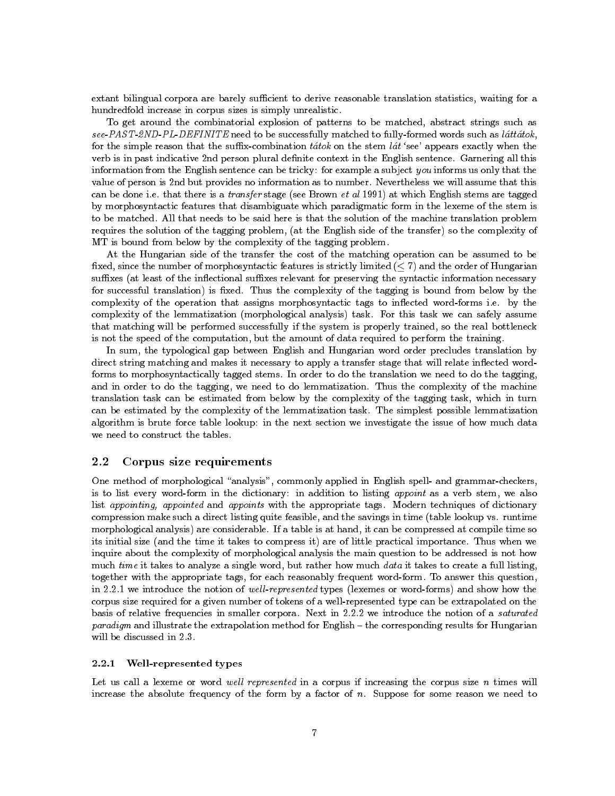extant bilingual corpora are barely sufficient to derive reasonable translation statistics, waiting for a hundredfold increase in corpus sizes is simply unrealistic.

To get around the combinatorial explosion of patterns to be matched, abstract strings such as see-PAST-2ND-PL-DEFINITE need to be successfully matched to fully-formed words such as láttátok, for the simple reason that the suffix-combination tatok on the stem lat 'see' appears exactly when the verb is in past indicative 2nd person plural definite context in the English sentence. Garnering all this information from the English sentence can be tricky: for example a subject you informs us only that the value of person is 2nd but provides no information as to number. Nevertheless we will assume that this can be done i.e. that there is a transfer stage (see Brown et al 1991) at which English stems are tagged by morphosyntactic features that disambiguate which paradigmatic form in the lexeme of the stem is to be matched. All that needs to be said here is that the solution of the machine translation problem requires the solution of the tagging problem, (at the English side of the transfer) so the complexity of MT is bound from below by the complexity of the tagging problem.

At the Hungarian side of the transfer the cost of the matching operation can be assumed to be fixed, since the number of morphosyntactic features is strictly limited  $(< 7)$  and the order of Hungarian suffixes (at least of the inflectional suffixes relevant for preserving the syntactic information necessary for successful translation) is fixed. Thus the complexity of the tagging is bound from below by the complexity of the operation that assigns morphosyntactic tags to inflected word-forms i.e. by the complexity of the lemmatization (morphological analysis) task. For this task we can safely assume that matching will be performed successfully if the system is properly trained, so the real bottleneck is not the speed of the computation, but the amount of data required to perform the training.

In sum, the typological gap between English and Hungarian word order precludes translation by direct string matching and makes it necessary to apply a transfer stage that will relate inflected wordforms to morphosyntactically tagged stems. In order to do the translation we need to do the tagging, and in order to do the tagging, we need to do lemmatization. Thus the complexity of the machine translation task can be estimated from below by the complexity of the tagging task, which in turn can be estimated by the complexity of the lemmatization task. The simplest possible lemmatization algorithm is brute force table lookup: in the next section we investigate the issue of how much data we need to construct the tables.

#### 2.2Corpus size requirements

One method of morphological "analysis", commonly applied in English spell- and grammar-checkers, is to list every word-form in the dictionary: in addition to listing appoint as a verb stem, we also list appointing, appointed and appoints with the appropriate tags. Modern techniques of dictionary compression make such a direct listing quite feasible, and the savings in time (table lookup vs. runtime morphological analysis) are considerable. If a table is at hand, it can be compressed at compile time so its initial size (and the time it takes to compress it) are of little practical importance. Thus when we inquire about the complexity of morphological analysis the main question to be addressed is not how much time it takes to analyze a single word, but rather how much data it takes to create a full listing, together with the appropriate tags, for each reasonably frequent word-form. To answer this question, in 2.2.1 we introduce the notion of well-represented types (lexemes or word-forms) and show how the corpus size required for a given number of tokens of a well-represented type can be extrapolated on the basis of relative frequencies in smaller corpora. Next in 2.2.2 we introduce the notion of a saturated paradigm and illustrate the extrapolation method for English - the corresponding results for Hungarian will be discussed in 2.3.

### 2.2.1 Well-represented types

Let us call a lexeme or word well represented in a corpus if increasing the corpus size  $n$  times will increase the absolute frequency of the form by a factor of n. Suppose for some reason we need to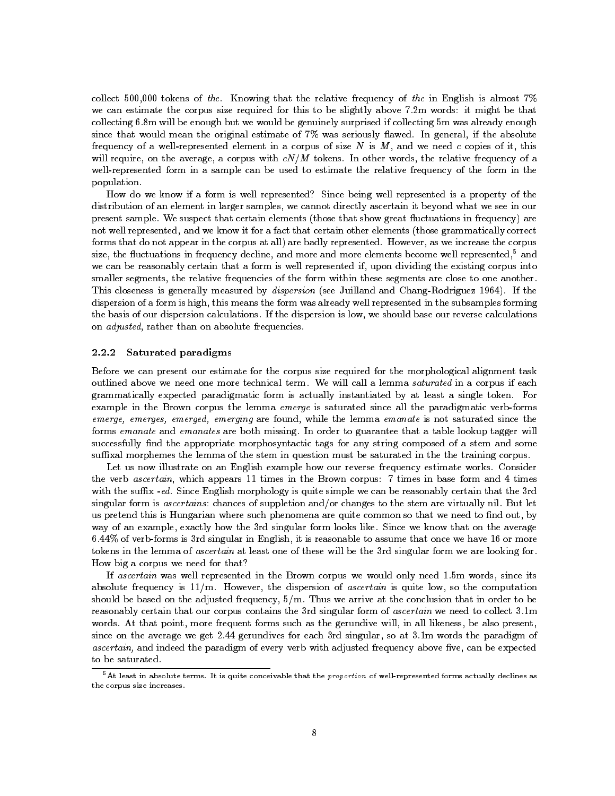collect 500,000 tokens of the. Knowing that the relative frequency of the in English is almost  $7\%$ we can estimate the corpus size required for this to be slightly above 7.2m words: it might be that collecting 6.8m will be enough but we would be genuinely surprised if collecting 5m was already enough since that would mean the original estimate of  $7\%$  was seriously flawed. In general, if the absolute frequency of a well-represented element in a corpus of size  $N$  is  $M$ , and we need c copies of it, this will require, on the average, a corpus with  $cN/M$  tokens. In other words, the relative frequency of a well-represented form in a sample can be used to estimate the relative frequency of the form in the population.

How do we know if a form is well represented? Since being well represented is a property of the distribution of an element in larger samples, we cannot directly ascertain it beyond what we see in our present sample. We suspect that certain elements (those that show great fluctuations in frequency) are not well represented, and we know it for a fact that certain other elements (those grammatically correct forms that do not appear in the corpus at all) are badly represented. However, as we increase the corpus size, the fluctuations in frequency decline, and more and more elements become well represented,<sup>5</sup> and we can be reasonably certain that a form is well represented if, upon dividing the existing corpus into smaller segments, the relative frequencies of the form within these segments are close to one another. This closeness is generally measured by dispersion (see Juilland and Chang-Rodriguez 1964). If the dispersion of a form is high, this means the form was already well represented in the subsamples forming the basis of our dispersion calculations. If the dispersion is low, we should base our reverse calculations on adjusted, rather than on absolute frequencies.

#### 2.2.2Saturated paradigms

Before we can present our estimate for the corpus size required for the morphological alignment task outlined above we need one more technical term. We will call a lemma saturated in a corpus if each grammatically expected paradigmatic form is actually instantiated by at least a single token. For example in the Brown corpus the lemma emerge is saturated since all the paradigmatic verb-forms emerge, emerges, emerged, emerging are found, while the lemma emanate is not saturated since the forms emanate and emanates are both missing. In order to guarantee that a table lookup tagger will successfully find the appropriate morphosyntactic tags for any string composed of a stem and some suffixal morphemes the lemma of the stem in question must be saturated in the the training corpus.

Let us now illustrate on an English example how our reverse frequency estimate works. Consider the verb ascertain, which appears 11 times in the Brown corpus: 7 times in base form and 4 times with the suffix -ed. Since English morphology is quite simple we can be reasonably certain that the 3rd singular form is ascertains: chances of suppletion and/or changes to the stem are virtually nil. But let us pretend this is Hungarian where such phenomena are quite common so that we need to find out, by way of an example, exactly how the 3rd singular form looks like. Since we know that on the average 6.44% of verb-forms is 3rd singular in English, it is reasonable to assume that once we have 16 or more tokens in the lemma of ascertain at least one of these will be the 3rd singular form we are looking for. How big a corpus we need for that?

If ascertain was well represented in the Brown corpus we would only need 1.5m words, since its absolute frequency is  $11/m$ . However, the dispersion of *ascertain* is quite low, so the computation should be based on the adjusted frequency,  $5/m$ . Thus we arrive at the conclusion that in order to be reasonably certain that our corpus contains the 3rd singular form of ascertain we need to collect 3.1m words. At that point, more frequent forms such as the gerundive will, in all likeness, be also present, since on the average we get 2.44 gerundives for each 3rd singular, so at 3.1m words the paradigm of ascertain, and indeed the paradigm of every verb with adjusted frequency above five, can be expected to be saturated.

 $5$ At least in absolute terms. It is quite conceivable that the *proportion* of well-represented forms actually declines as the corpus size increases the corpus size increases.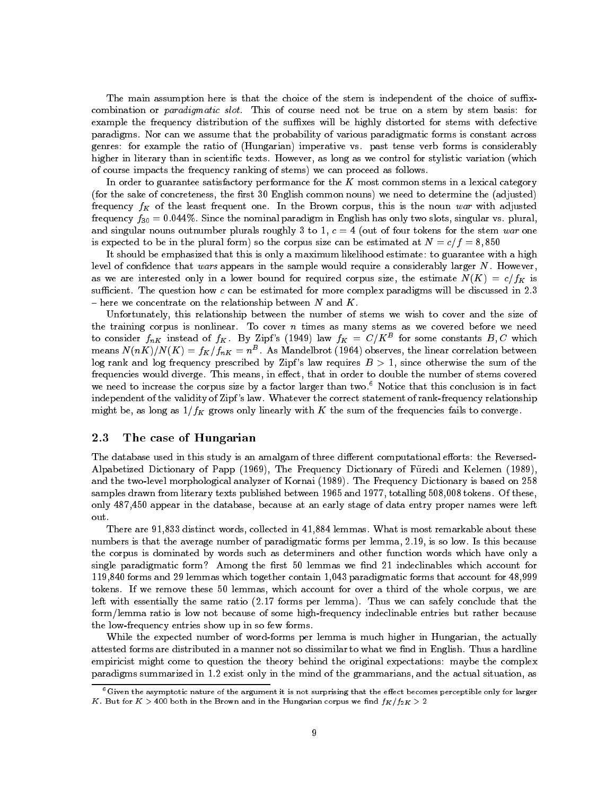The main assumption here is that the choice of the stem is independent of the choice of suffixcombination or paradigmatic slot. This of course need not be true on a stem by stem basis: for example the frequency distribution of the suffixes will be highly distorted for stems with defective paradigms. Nor can we assume that the probability of various paradigmatic forms is constant across genres: for example the ratio of (Hungarian) imperative vs. past tense verb forms is considerably higher in literary than in scientific texts. However, as long as we control for stylistic variation (which of course impacts the frequency ranking of stems) we can proceed as follows.

In order to guarantee satisfactory performance for the  $K$  most common stems in a lexical category (for the sake of concreteness, the first 30 English common nouns) we need to determine the (adjusted) frequency  $f_K$  of the least frequent one. In the Brown corpus, this is the noun war with adjusted frequency  $f_{30} = 0.044\%$ . Since the nominal paradigm in English has only two slots, singular vs. plural, and singular nouns outnumber plurals roughly 3 to 1,  $c = 4$  (out of four tokens for the stem war one is expected to be in the plural form) so the corpus size can be estimated at  $N = c/f = 8,850$ 

It should be emphasized that this is only a maximum likelihood estimate: to guarantee with a high level of confidence that wars appears in the sample would require a considerably larger  $N$ . However, as we are interested only in a lower bound for required corpus size, the estimate  $N(K) = c/f_K$  is sufficient. The question how  $c$  can be estimated for more complex paradigms will be discussed in 2.3  $-$  here we concentrate on the relationship between N and K.

Unfortunately, this relationship between the number of stems we wish to cover and the size of the training corpus is nonlinear. To cover  $n$  times as many stems as we covered before we need to consider  $f_{nK}$  instead of  $f_K$ . By Zipf's (1949) law  $f_K = C/K^B$  for some constants  $B, C$  which means IV (NN )/IV (N )  $\equiv$  J K / J  $_n$  K  $\equiv$   $n^-$  . As Mandelbrot (1904) observes, the linear correlation between log rank and log frequency prescribed by Zipf's law requires  $B > 1$ , since otherwise the sum of the frequencies would diverge. This means, in effect, that in order to double the number of stems covered we need to increase the corpus size by a factor larger than two.<sup>6</sup> Notice that this conclusion is in fact independent of the validity of Zipf 's law. Whatever the correct statement of rank-frequency relationship might be, as long as  $1/f_K$  grows only linearly with K the sum of the frequencies fails to converge.

#### 2.3The case of Hungarian

The database used in this study is an amalgam of three different computational efforts: the Reversed-Alpabetized Dictionary of Papp (1969), The Frequency Dictionary of Furedi and Kelemen (1989), and the two-level morphological analyzer of Kornai (1989). The Frequency Dictionary is based on 258 samples drawn from literary texts published between 1965 and 1977, totalling 508,008 tokens. Of these, only 487,450 appear in the database, because at an early stage of data entry proper names were left out.

There are 91,833 distinct words, collected in 41,884 lemmas. What is most remarkable about these numbers is that the average number of paradigmatic forms per lemma, 2.19, is so low. Is this because the corpus is dominated by words such as determiners and other function words which have only a single paradigmatic form? Among the first  $50$  lemmas we find  $21$  indeclinables which account for 119,840 forms and 29 lemmas which together contain 1,043 paradigmatic forms that account for 48,999 tokens. If we remove these 50 lemmas, which account for over a third of the whole corpus, we are left with essentially the same ratio (2.17 forms per lemma). Thus we can safely conclude that the form/lemma ratio is low not because of some high-frequency indeclinable entries but rather because the low-frequency entries show up in so few forms.

While the expected number of word-forms per lemma is much higher in Hungarian, the actually attested forms are distributed in a manner not so dissimilar to what we find in English. Thus a hardline empiricist might come to question the theory behind the original expectations: maybe the complex paradigms summarized in 1.2 exist only in the mind of the grammarians, and the actual situation, as

 $6$ Given the asymptotic nature of the argument it is not surprising that the effect becomes perceptible only for larger K. But for  $K > 400$  both in the Brown and in the Hungarian corpus we find  $f_K/f_{2K} > 2$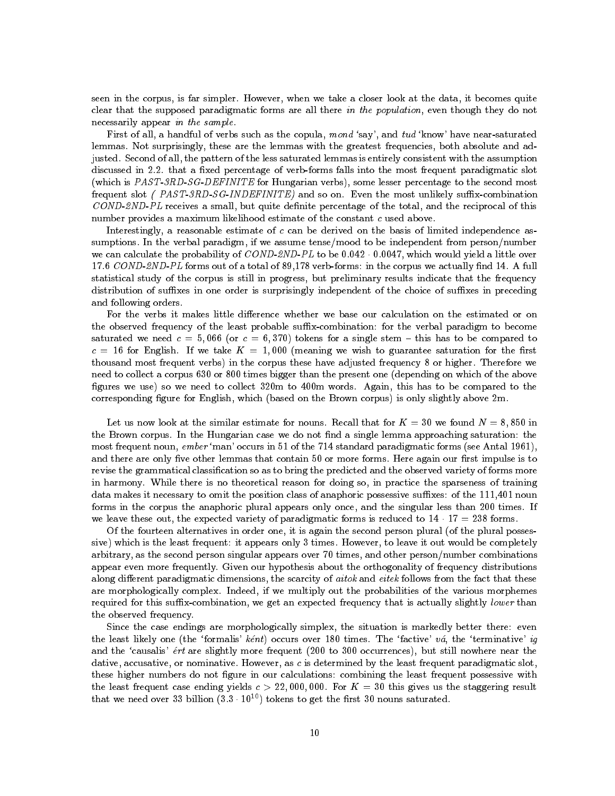seen in the corpus, is far simpler. However, when we take a closer look at the data, it becomes quite clear that the supposed paradigmatic forms are all there in the population, even though they do not necessarily appear in the sample.

First of all, a handful of verbs such as the copula, mond 'say', and tud 'know' have near-saturated lemmas. Not surprisingly, these are the lemmas with the greatest frequencies, both absolute and adjusted. Second of all, the pattern of the less saturated lemmas is entirely consistent with the assumption discussed in 2.2. that a fixed percentage of verb-forms falls into the most frequent paradigmatic slot (which is PAST-3RD-SG-DEFINITE for Hungarian verbs), some lesser percentage to the second most frequent slot (PAST-3RD-SG-INDEFINITE) and so on. Even the most unlikely suffix-combination  $\textit{COND-2ND-PL}$  receives a small, but quite definite percentage of the total, and the reciprocal of this number provides a maximum likelihood estimate of the constant c used above.

Interestingly, a reasonable estimate of  $c$  can be derived on the basis of limited independence assumptions. In the verbal paradigm, if we assume tense/mood to be independent from person/number we can calculate the probability of  $COND2ND-PL$  to be  $0.042 \cdot 0.0047$ , which would yield a little over 17.6 COND-2ND-PL forms out of a total of 89,178 verb-forms: in the corpus we actually find 14. A full statistical study of the corpus is still in progress, but preliminary results indicate that the frequency distribution of suffixes in one order is surprisingly independent of the choice of suffixes in preceding and following orders.

For the verbs it makes little difference whether we base our calculation on the estimated or on the observed frequency of the least probable suffix-combination: for the verbal paradigm to become saturated we need  $c = 5,066$  (or  $c = 6,370$ ) tokens for a single stem - this has to be compared to  $c = 16$  for English. If we take  $K = 1,000$  (meaning we wish to guarantee saturation for the first thousand most frequent verbs) in the corpus these have adjusted frequency 8 or higher. Therefore we need to collect a corpus 630 or 800 times bigger than the present one (depending on which of the above figures we use) so we need to collect 320m to 400m words. Again, this has to be compared to the corresponding figure for English, which (based on the Brown corpus) is only slightly above 2m.

Let us now look at the similar estimate for nouns. Recall that for  $K = 30$  we found  $N = 8,850$  in the Brown corpus. In the Hungarian case we do not find a single lemma approaching saturation: the most frequent noun, ember 'man' occurs in 51 of the 714 standard paradigmatic forms (see Antal 1961), and there are only five other lemmas that contain 50 or more forms. Here again our first impulse is to revise the grammatical classication so as to bring the predicted and the observed variety of forms more in harmony. While there is no theoretical reason for doing so, in practice the sparseness of training data makes it necessary to omit the position class of anaphoric possessive suffixes: of the 111,401 noun forms in the corpus the anaphoric plural appears only once, and the singular less than 200 times. If we leave these out, the expected variety of paradigmatic forms is reduced to  $14 \cdot 17 = 238$  forms.

Of the fourteen alternatives in order one, it is again the second person plural (of the plural possessive) which is the least frequent: it appears only 3 times. However, to leave it out would be completely arbitrary, as the second person singular appears over 70 times, and other person/number combinations appear even more frequently. Given our hypothesis about the orthogonality of frequency distributions along different paradigmatic dimensions, the scarcity of  $aitok$  and  $eitek$  follows from the fact that these are morphologically complex. Indeed, if we multiply out the probabilities of the various morphemes required for this suffix-combination, we get an expected frequency that is actually slightly lower than the observed frequency.

Since the case endings are morphologically simplex, the situation is markedly better there: even the least likely one (the 'formalis' kent) occurs over 180 times. The 'factive' va, the 'terminative' ig and the 'causalis' ert are slightly more frequent (200 to 300 occurrences), but still nowhere near the dative, accusative, or nominative. However, as c is determined by the least frequent paradigmatic slot, these higher numbers do not figure in our calculations: combining the least frequent possessive with the least frequent case ending yields  $c > 22,000,000$ . For  $K = 30$  this gives us the staggering result that we need over 33 billion  $(3.3 \cdot 10^{10})$  tokens to get the first 30 nouns saturated.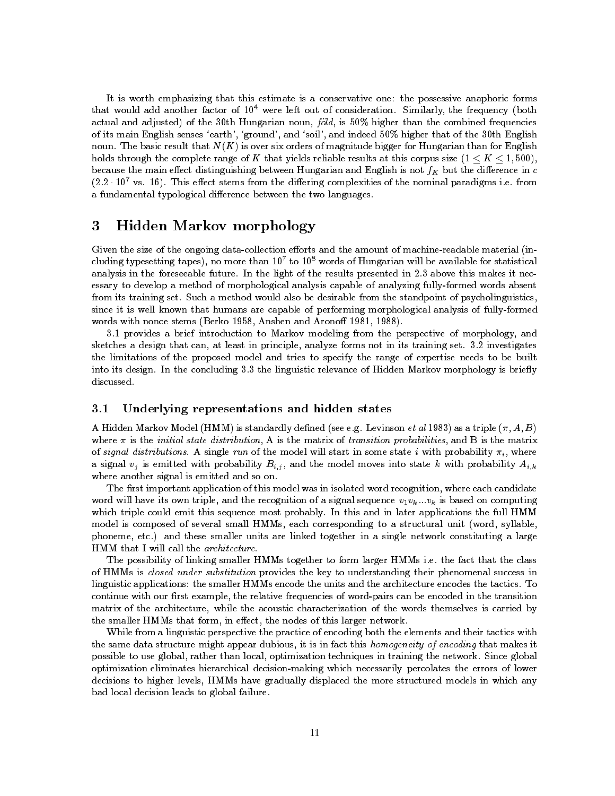It is worth emphasizing that this estimate is a conservative one: the possessive anaphoric forms that would add another factor of  $10^4$  were left out of consideration. Similarly, the frequency (both actual and adjusted) of the 30th Hungarian noun,  $f \ddot{o} Id$ , is 50% higher than the combined frequencies of its main English senses `earth', `ground', and `soil', and indeed 50% higher that of the 30th English noun. The basic result that  $N(K)$  is over six orders of magnitude bigger for Hungarian than for English holds through the complete range of K that yields reliable results at this corpus size  $(1 \leq K \leq 1, 500)$ , because the main effect distinguishing between Hungarian and English is not  $f_K$  but the difference in  $c$  $(2.2 \cdot 10^7 \text{ vs. } 16)$ . This effect stems from the differing complexities of the nominal paradigms i.e. from a fundamental typological difference between the two languages.

### 3Hidden Markov morphology

Given the size of the ongoing data-collection efforts and the amount of machine-readable material (including typesetting tapes), no more than 107 to 108 words of Hungarian will be available for statistical analysis in the foreseeable future. In the light of the results presented in 2.3 above this makes it necessary to develop a method of morphological analysis capable of analyzing fully-formed words absent from its training set. Such a method would also be desirable from the standpoint of psycholinguistics, since it is well known that humans are capable of performing morphological analysis of fully-formed words with nonce stems (Berko 1958, Anshen and Aronoff 1981, 1988).

3.1 provides a brief introduction to Markov modeling from the perspective of morphology, and sketches a design that can, at least in principle, analyze forms not in its training set. 3.2 investigates the limitations of the proposed model and tries to specify the range of expertise needs to be built into its design. In the concluding 3.3 the linguistic relevance of Hidden Markov morphology is briefly discussed.

#### 3.1Underlying representations and hidden states

A Hidden Markov Model (HMM) is standardly defined (see e.g. Levinson *et al* 1983) as a triple  $(\pi, A, B)$ where  $\pi$  is the *initial state distribution*, A is the matrix of *transition probabilities*, and B is the matrix of signal distributions. A single run of the model will start in some state i with probability  $\pi_i$ , where a signal  $v_j$  is emitted with probability  $B_{i,j}$ , and the model moves into state k with probability  $A_{i,k}$ where another signal is emitted and so on.

The first important application of this model was in isolated word recognition, where each candidate word will have its own triple, and the recognition of a signal sequence  $v_1v_k...v_k$  is based on computing which triple could emit this sequence most probably. In this and in later applications the full HMM model is composed of several small HMMs, each corresponding to a structural unit (word, syllable, phoneme, etc.) and these smaller units are linked together in a single network constituting a large HMM that I will call the architecture.

The possibility of linking smaller HMMs together to form larger HMMs i.e. the fact that the class of HMMs is closed under substitution provides the key to understanding their phenomenal success in linguistic applications: the smaller HMMs encode the units and the architecture encodes the tactics. To continue with our first example, the relative frequencies of word-pairs can be encoded in the transition matrix of the architecture, while the acoustic characterization of the words themselves is carried by the smaller HMMs that form, in effect, the nodes of this larger network.

While from a linguistic perspective the practice of encoding both the elements and their tactics with the same data structure might appear dubious, it is in fact this homogeneity of encoding that makes it possible to use global, rather than local, optimization techniques in training the network. Since global optimization eliminates hierarchical decision-making which necessarily percolates the errors of lower decisions to higher levels, HMMs have gradually displaced the more structured models in which any bad local decision leads to global failure.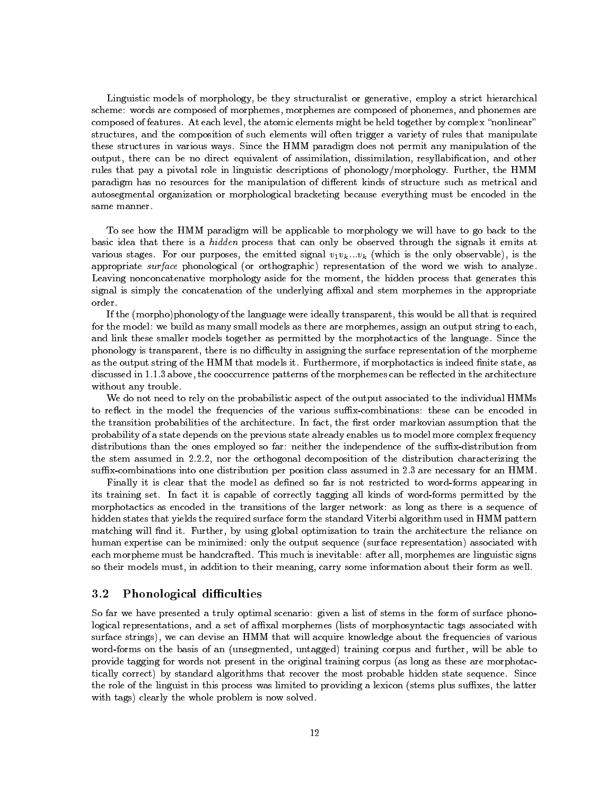Linguistic models of morphology, be they structuralist or generative, employ a strict hierarchical scheme: words are composed of morphemes, morphemes are composed of phonemes, and phonemes are composed of features. At each level, the atomic elements might be held together by complex "nonlinear" structures, and the composition of such elements will often trigger a variety of rules that manipulate these structures in various ways. Since the HMM paradigm does not permit any manipulation of the output, there can be no direct equivalent of assimilation, dissimilation, resyllabication, and other rules that pay a pivotal role in linguistic descriptions of phonology/morphology. Further, the HMM paradigm has no resources for the manipulation of different kinds of structure such as metrical and autosegmental organization or morphological bracketing because everything must be encoded in the same manner.

To see how the HMM paradigm will be applicable to morphology we will have to go back to the basic idea that there is a hidden process that can only be observed through the signals it emits at various stages. For our purposes, the emitted signal  $v_1v_k...v_k$  (which is the only observable), is the appropriate surface phonological (or orthographic) representation of the word we wish to analyze. Leaving nonconcatenative morphology aside for the moment, the hidden process that generates this signal is simply the concatenation of the underlying affixal and stem morphemes in the appropriate order.

If the (morpho)phonology of the language were ideally transparent, this would be all that is required for the model: we build as many small models as there are morphemes, assign an output string to each, and link these smaller models together as permitted by the morphotactics of the language. Since the phonology is transparent, there is no difficulty in assigning the surface representation of the morpheme as the output string of the HMM that models it. Furthermore, if morphotactics is indeed finite state, as discussed in 1.1.3 above, the cooccurrence patterns of the morphemes can be reflected in the architecture without any trouble.

We do not need to rely on the probabilistic aspect of the output associated to the individual HMMs to reflect in the model the frequencies of the various suffix-combinations: these can be encoded in the transition probabilities of the architecture. In fact, the first order markovian assumption that the probability of a state depends on the previous state already enables us to model more complex frequency distributions than the ones employed so far: neither the independence of the suffix-distribution from the stem assumed in 2.2.2, nor the orthogonal decomposition of the distribution characterizing the suffix-combinations into one distribution per position class assumed in 2.3 are necessary for an HMM.

Finally it is clear that the model as defined so far is not restricted to word-forms appearing in its training set. In fact it is capable of correctly tagging all kinds of word-forms permitted by the morphotactics as encoded in the transitions of the larger network: as long as there is a sequence of hidden states that yields the required surface form the standard Viterbi algorithm used in HMM pattern matching will find it. Further, by using global optimization to train the architecture the reliance on human expertise can be minimized: only the output sequence (surface representation) associated with each morpheme must be handcrafted. This much is inevitable: after all, morphemes are linguistic signs so their models must, in addition to their meaning, carry some information about their form as well.

#### 3.2Phonological difficulties

So far we have presented a truly optimal scenario: given a list of stems in the form of surface phonological representations, and a set of affixal morphemes (lists of morphosyntactic tags associated with surface strings), we can devise an HMM that will acquire knowledge about the frequencies of various word-forms on the basis of an (unsegmented, untagged) training corpus and further, will be able to provide tagging for words not present in the original training corpus (as long as these are morphotactically correct) by standard algorithms that recover the most probable hidden state sequence. Since the role of the linguist in this process was limited to providing a lexicon (stems plus suffixes, the latter with tags) clearly the whole problem is now solved.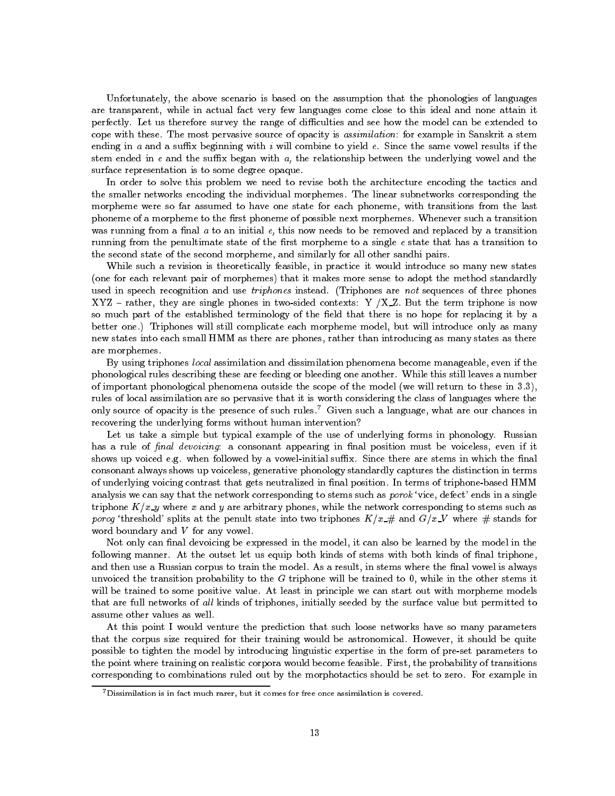Unfortunately, the above scenario is based on the assumption that the phonologies of languages are transparent, while in actual fact very few languages come close to this ideal and none attain it perfectly. Let us therefore survey the range of difficulties and see how the model can be extended to cope with these. The most pervasive source of opacity is assimilation: for example in Sanskrit a stem ending in a and a suffix beginning with i will combine to yield  $e$ . Since the same vowel results if the stem ended in  $e$  and the suffix began with  $a$ , the relationship between the underlying vowel and the surface representation is to some degree opaque.

In order to solve this problem we need to revise both the architecture encoding the tactics and the smaller networks encoding the individual morphemes. The linear subnetworks corresponding the morpheme were so far assumed to have one state for each phoneme, with transitions from the last phoneme of a morpheme to the first phoneme of possible next morphemes. Whenever such a transition was running from a final  $a$  to an initial  $e$ , this now needs to be removed and replaced by a transition running from the penultimate state of the first morpheme to a single e state that has a transition to the second state of the second morpheme, and similarly for all other sandhi pairs.

While such a revision is theoretically feasible, in practice it would introduce so many new states (one for each relevant pair of morphemes) that it makes more sense to adopt the method standardly used in speech recognition and use *triphones* instead. (Triphones are not sequences of three phones XYZ - rather, they are single phones in two-sided contexts: Y  $/XZ$ . But the term triphone is now so much part of the established terminology of the field that there is no hope for replacing it by a better one.) Triphones will still complicate each morpheme model, but will introduce only as many new states into each small HMM as there are phones, rather than introducing as many states as there are morphemes.

By using triphones local assimilation and dissimilation phenomena become manageable, even if the phonological rules describing these are feeding or bleeding one another. While this still leaves a number of important phonological phenomena outside the scope of the model (we will return to these in 3.3), rules of local assimilation are so pervasive that it is worth considering the class of languages where the only source of opacity is the presence of such rules.7 Given such a language, what are our chances in recovering the underlying forms without human intervention?

Let us take a simple but typical example of the use of underlying forms in phonology. Russian has a rule of final devoicing: a consonant appearing in final position must be voiceless, even if it shows up voiced e.g. when followed by a vowel-initial suffix. Since there are stems in which the final consonant always shows up voiceless, generative phonology standardly captures the distinction in terms of underlying voicing contrast that gets neutralized in final position. In terms of triphone-based HMM analysis we can say that the network corresponding to stems such as *porok* 'vice, defect' ends in a single triphone  $K/x$ -y where x and y are arbitrary phones, while the network corresponding to stems such as porog 'threshold' splits at the penult state into two triphones  $K/x \neq$  and  $G/x \cdot V$  where  $\#$  stands for word boundary and  $V$  for any vowel.

Not only can final devoicing be expressed in the model, it can also be learned by the model in the following manner. At the outset let us equip both kinds of stems with both kinds of final triphone, and then use a Russian corpus to train the model. As a result, in stems where the final vowel is always unvoiced the transition probability to the  $G$  triphone will be trained to  $0$ , while in the other stems it will be trained to some positive value. At least in principle we can start out with morpheme models that are full networks of all kinds of triphones, initially seeded by the surface value but permitted to assume other values as well.

At this point I would venture the prediction that such loose networks have so many parameters that the corpus size required for their training would be astronomical. However, it should be quite possible to tighten the model by introducing linguistic expertise in the form of pre-set parameters to the point where training on realistic corpora would become feasible. First, the probability of transitions corresponding to combinations ruled out by the morphotactics should be set to zero. For example in

 $7$ Dissimilation is in fact much rarer, but it comes for free once assimilation is covered.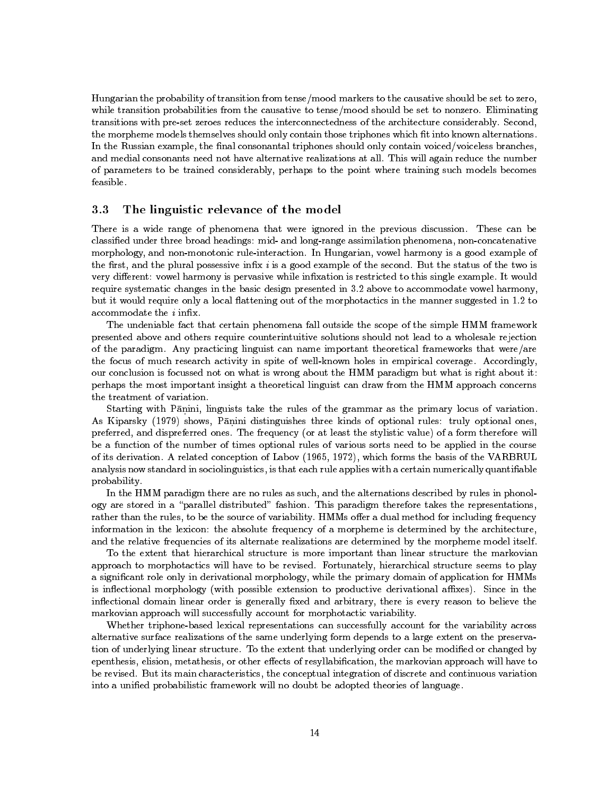Hungarian the probability of transition from tense/mood markers to the causative should be set to zero, while transition probabilities from the causative to tense/mood should be set to nonzero. Eliminating transitions with pre-set zeroes reduces the interconnectedness of the architecture considerably. Second, the morpheme models themselves should only contain those triphones which fit into known alternations. In the Russian example, the final consonantal triphones should only contain voiced/voiceless branches, and medial consonants need not have alternative realizations at all. This will again reduce the number of parameters to be trained considerably, perhaps to the point where training such models becomes feasible.

#### 3.3The linguistic relevance of the model

There is a wide range of phenomena that were ignored in the previous discussion. These can be classied under three broad headings: mid- and long-range assimilation phenomena, non-concatenative morphology, and non-monotonic rule-interaction. In Hungarian, vowel harmony is a good example of the first, and the plural possessive infix  $i$  is a good example of the second. But the status of the two is very different: vowel harmony is pervasive while infixation is restricted to this single example. It would require systematic changes in the basic design presented in 3.2 above to accommodate vowel harmony, but it would require only a local flattening out of the morphotactics in the manner suggested in 1.2 to accommodate the  $i$  infix.

The undeniable fact that certain phenomena fall outside the scope of the simple HMM framework presented above and others require counterintuitive solutions should not lead to a wholesale rejection of the paradigm. Any practicing linguist can name important theoretical frameworks that were/are the focus of much research activity in spite of well-known holes in empirical coverage. Accordingly, our conclusion is focussed not on what is wrong about the HMM paradigm but what is right about it: perhaps the most important insight a theoretical linguist can draw from the HMM approach concerns the treatment of variation.

Starting with Pānini, linguists take the rules of the grammar as the primary locus of variation. As Kiparsky (1979) shows, Panini distinguishes three kinds of optional rules: truly optional ones, preferred, and dispreferred ones. The frequency (or at least the stylistic value) of a form therefore will be a function of the number of times optional rules of various sorts need to be applied in the course of its derivation. A related conception of Labov (1965, 1972), which forms the basis of the VARBRUL analysis now standard in sociolinguistics, is that each rule applies with a certain numerically quantifiable probability.

In the HMM paradigm there are no rules as such, and the alternations described by rules in phonology are stored in a "parallel distributed" fashion. This paradigm therefore takes the representations, rather than the rules, to be the source of variability. HMMs offer a dual method for including frequency information in the lexicon: the absolute frequency of a morpheme is determined by the architecture, and the relative frequencies of its alternate realizations are determined by the morpheme model itself.

To the extent that hierarchical structure is more important than linear structure the markovian approach to morphotactics will have to be revised. Fortunately, hierarchical structure seems to play a signicant role only in derivational morphology, while the primary domain of application for HMMs is inflectional morphology (with possible extension to productive derivational affixes). Since in the inflectional domain linear order is generally fixed and arbitrary, there is every reason to believe the markovian approach will successfully account for morphotactic variability.

Whether triphone-based lexical representations can successfully account for the variability across alternative surface realizations of the same underlying form depends to a large extent on the preservation of underlying linear structure. To the extent that underlying order can be modified or changed by epenthesis, elision, metathesis, or other effects of resyllabification, the markovian approach will have to be revised. But its main characteristics, the conceptual integration of discrete and continuous variation into a unified probabilistic framework will no doubt be adopted theories of language.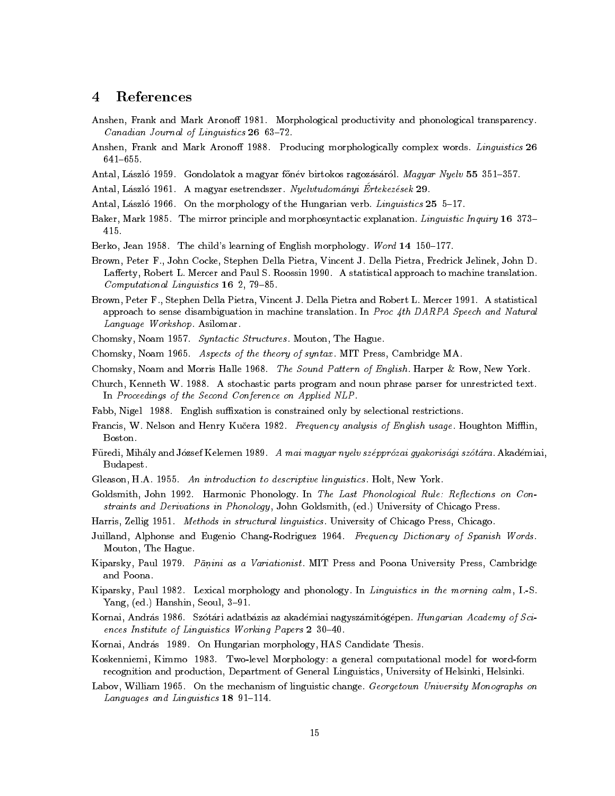#### References  $\overline{4}$

- Anshen, Frank and Mark Aronoff 1981. Morphological productivity and phonological transparency. Canadian Journal of Linguistics 26 63-72.
- Anshen, Frank and Mark Aronoff 1988. Producing morphologically complex words. Linguistics 26  $641 - 655$
- Antal, László 1959. Gondolatok a magyar főnév birtokos ragozásáról. Magyar Nyelv 55 351-357.
- Antal, Daszlo 1961. A magyar esetrendszer. Nyelvtudo*manyi Ertekezesek 29.*
- Antal, László 1966. On the morphology of the Hungarian verb. Linguistics 25 5-17.
- Baker, Mark 1985. The mirror principle and morphosyntactic explanation. Linguistic Inquiry 16 373-415
- Berko, Jean 1958. The child's learning of English morphology. Word 14 150-177.
- Brown, Peter F., John Cocke, Stephen Della Pietra, Vincent J. Della Pietra, Fredrick Jelinek, John D. Lafferty, Robert L. Mercer and Paul S. Roossin 1990. A statistical approach to machine translation.  $Computational$  Linguistics 16 2, 79-85.
- Brown, Peter F., Stephen Della Pietra, Vincent J. Della Pietra and Robert L. Mercer 1991. A statistical approach to sense disambiguation in machine translation. In Proc 4th DARPA Speech and Natural Language Workshop. Asilomar.
- Chomsky, Noam 1957. Syntactic Structures . Mouton, The Hague.
- Chomsky, Noam 1965. Aspects of the theory of syntax . MIT Press, Cambridge MA.
- Chomsky, Noam and Morris Halle 1968. The Sound Pattern of English. Harper & Row, New York.
- Church, Kenneth W. 1988. A stochastic parts program and noun phrase parser for unrestricted text. In Proceedings of the Second Conference on Applied NLP.
- Fabb, Nigel 1988. English suffixation is constrained only by selectional restrictions.
- Francis, W. Nelson and Henry Kučera 1982. Frequency analysis of English usage. Houghton Mifflin, Boston.
- Füredi, Mihály and József Kelemen 1989. A mai magyar nyelv szépprózai gyakorisági szótára. Akadémiai, Budapest.
- Gleason, H.A. 1955. An introduction to descriptive linguistics. Holt, New York.
- Goldsmith, John 1992. Harmonic Phonology. In The Last Phonological Rule: Reflections on Constraints and Derivations in Phonology , John Goldsmith, (ed.) University of Chicago Press.
- Harris, Zellig 1951. Methods in structural linguistics . University of Chicago Press, Chicago.
- Juilland, Alphonse and Eugenio Chang-Rodriguez 1964. Frequency Dictionary of Spanish Words.<br>Mouton, The Hague.
- Kiparsky, Paul 1979. Pāņini as a Variationist. MIT Press and Poona University Press, Cambridge and Poona.
- Kiparsky, Paul 1982. Lexical morphology and phonology. In Linguistics in the morning calm, I.-S. Yang,  $(ed.)$  Hanshin, Seoul,  $3-91$ .
- Kornai, András 1986. Szótári adatbázis az akadémiai nagyszámitógépen. Hungarian Academy of Sciences Institute of Linguistics Working Papers 2 30-40.
- Kornai, András 1989. On Hungarian morphology, HAS Candidate Thesis.
- Koskenniemi, Kimmo 1983. Two-level Morphology: a general computational model for word-form recognition and production, Department of General Linguistics, University of Helsinki, Helsinki.
- Labov, William 1965. On the mechanism of linguistic change. Georgetown University Monographs on Languages and Linguistics  $18\,91-114$ .